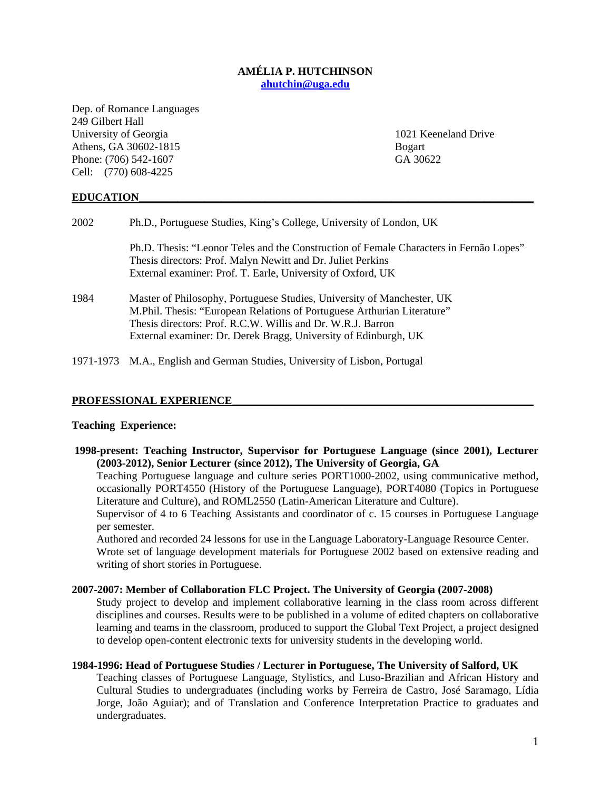## **AMÉLIA P. HUTCHINSON ahutchin@uga.edu**

Dep. of Romance Languages 249 Gilbert Hall University of Georgia 2021 Keeneland Drive Athens, GA 30602-1815 Bogart Phone: (706) 542-1607 GA 30622 Cell: (770) 608-4225

## **EDUCATION\_\_\_\_\_\_\_\_\_\_\_\_\_\_\_\_\_\_\_\_\_\_\_\_\_\_\_\_\_\_\_\_\_\_\_\_\_\_\_\_\_\_\_\_\_\_\_\_\_\_\_\_\_\_\_\_\_\_\_\_\_\_\_\_\_\_\_\_\_\_\_\_**

| 2002 | Ph.D., Portuguese Studies, King's College, University of London, UK                                                                                                                                                                                                                 |  |
|------|-------------------------------------------------------------------------------------------------------------------------------------------------------------------------------------------------------------------------------------------------------------------------------------|--|
|      | Ph.D. Thesis: "Leonor Teles and the Construction of Female Characters in Fernão Lopes"<br>Thesis directors: Prof. Malyn Newitt and Dr. Juliet Perkins<br>External examiner: Prof. T. Earle, University of Oxford, UK                                                                |  |
| 1984 | Master of Philosophy, Portuguese Studies, University of Manchester, UK<br>M.Phil. Thesis: "European Relations of Portuguese Arthurian Literature"<br>Thesis directors: Prof. R.C.W. Willis and Dr. W.R.J. Barron<br>External examiner: Dr. Derek Bragg, University of Edinburgh, UK |  |
|      | 1971-1973 M.A., English and German Studies, University of Lisbon, Portugal                                                                                                                                                                                                          |  |

#### PROFESSIONAL EXPERIENCE

#### **Teaching Experience:**

 **1998-present: Teaching Instructor, Supervisor for Portuguese Language (since 2001), Lecturer (2003-2012), Senior Lecturer (since 2012), The University of Georgia, GA** 

Teaching Portuguese language and culture series PORT1000-2002, using communicative method, occasionally PORT4550 (History of the Portuguese Language), PORT4080 (Topics in Portuguese Literature and Culture), and ROML2550 (Latin-American Literature and Culture).

Supervisor of 4 to 6 Teaching Assistants and coordinator of c. 15 courses in Portuguese Language per semester.

Authored and recorded 24 lessons for use in the Language Laboratory-Language Resource Center. Wrote set of language development materials for Portuguese 2002 based on extensive reading and writing of short stories in Portuguese.

#### **2007-2007: Member of Collaboration FLC Project. The University of Georgia (2007-2008)**

Study project to develop and implement collaborative learning in the class room across different disciplines and courses. Results were to be published in a volume of edited chapters on collaborative learning and teams in the classroom, produced to support the Global Text Project, a project designed to develop open-content electronic texts for university students in the developing world.

## **1984-1996: Head of Portuguese Studies / Lecturer in Portuguese, The University of Salford, UK**

Teaching classes of Portuguese Language, Stylistics, and Luso-Brazilian and African History and Cultural Studies to undergraduates (including works by Ferreira de Castro, José Saramago, Lídia Jorge, João Aguiar); and of Translation and Conference Interpretation Practice to graduates and undergraduates.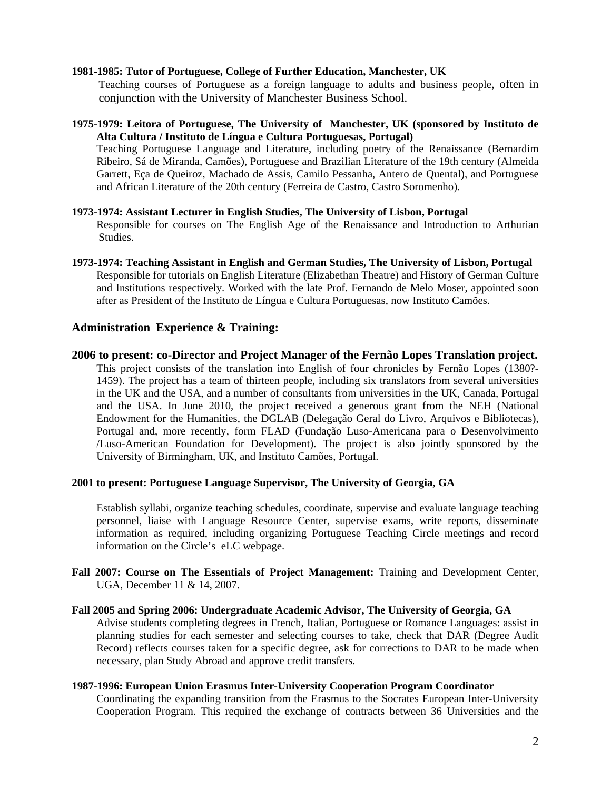## **1981-1985: Tutor of Portuguese, College of Further Education, Manchester, UK**

Teaching courses of Portuguese as a foreign language to adults and business people, often in conjunction with the University of Manchester Business School.

## **1975-1979: Leitora of Portuguese, The University of Manchester, UK (sponsored by Instituto de Alta Cultura / Instituto de Língua e Cultura Portuguesas, Portugal)**

Teaching Portuguese Language and Literature, including poetry of the Renaissance (Bernardim Ribeiro, Sá de Miranda, Camões), Portuguese and Brazilian Literature of the 19th century (Almeida Garrett, Eça de Queiroz, Machado de Assis, Camilo Pessanha, Antero de Quental), and Portuguese and African Literature of the 20th century (Ferreira de Castro, Castro Soromenho).

# **1973-1974: Assistant Lecturer in English Studies, The University of Lisbon, Portugal**

Responsible for courses on The English Age of the Renaissance and Introduction to Arthurian Studies.

**1973-1974: Teaching Assistant in English and German Studies, The University of Lisbon, Portugal**  Responsible for tutorials on English Literature (Elizabethan Theatre) and History of German Culture and Institutions respectively. Worked with the late Prof. Fernando de Melo Moser, appointed soon after as President of the Instituto de Língua e Cultura Portuguesas, now Instituto Camões.

## **Administration Experience & Training:**

## **2006 to present: co-Director and Project Manager of the Fernão Lopes Translation project.**

This project consists of the translation into English of four chronicles by Fernão Lopes (1380?- 1459). The project has a team of thirteen people, including six translators from several universities in the UK and the USA, and a number of consultants from universities in the UK, Canada, Portugal and the USA. In June 2010, the project received a generous grant from the NEH (National Endowment for the Humanities, the DGLAB (Delegação Geral do Livro, Arquivos e Bibliotecas), Portugal and, more recently, form FLAD (Fundação Luso-Americana para o Desenvolvimento /Luso-American Foundation for Development). The project is also jointly sponsored by the University of Birmingham, UK, and Instituto Camões, Portugal.

## **2001 to present: Portuguese Language Supervisor, The University of Georgia, GA**

Establish syllabi, organize teaching schedules, coordinate, supervise and evaluate language teaching personnel, liaise with Language Resource Center, supervise exams, write reports, disseminate information as required, including organizing Portuguese Teaching Circle meetings and record information on the Circle's eLC webpage.

**Fall 2007: Course on The Essentials of Project Management:** Training and Development Center, UGA, December 11 & 14, 2007.

# **Fall 2005 and Spring 2006: Undergraduate Academic Advisor, The University of Georgia, GA**

Advise students completing degrees in French, Italian, Portuguese or Romance Languages: assist in planning studies for each semester and selecting courses to take, check that DAR (Degree Audit Record) reflects courses taken for a specific degree, ask for corrections to DAR to be made when necessary, plan Study Abroad and approve credit transfers.

## **1987-1996: European Union Erasmus Inter-University Cooperation Program Coordinator**

Coordinating the expanding transition from the Erasmus to the Socrates European Inter-University Cooperation Program. This required the exchange of contracts between 36 Universities and the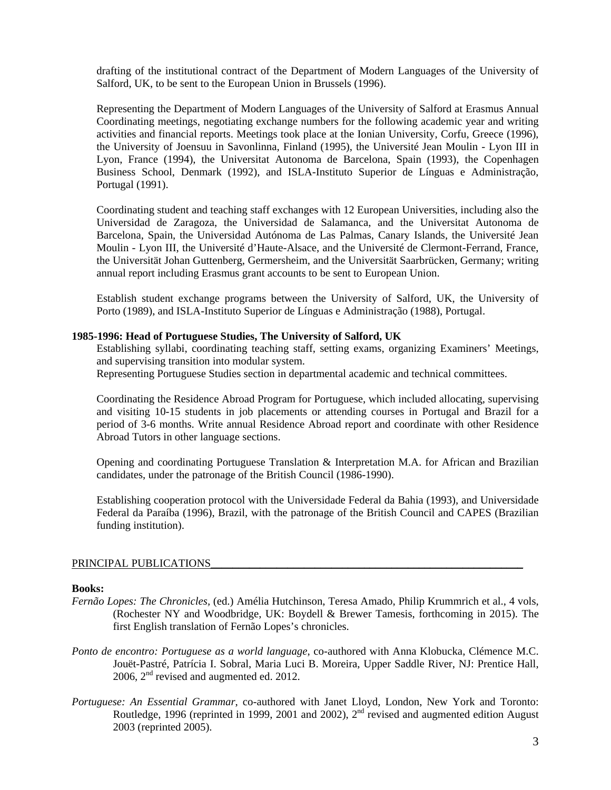drafting of the institutional contract of the Department of Modern Languages of the University of Salford, UK, to be sent to the European Union in Brussels (1996).

Representing the Department of Modern Languages of the University of Salford at Erasmus Annual Coordinating meetings, negotiating exchange numbers for the following academic year and writing activities and financial reports. Meetings took place at the Ionian University, Corfu, Greece (1996), the University of Joensuu in Savonlinna, Finland (1995), the Université Jean Moulin - Lyon III in Lyon, France (1994), the Universitat Autonoma de Barcelona, Spain (1993), the Copenhagen Business School, Denmark (1992), and ISLA-Instituto Superior de Línguas e Administração, Portugal (1991).

Coordinating student and teaching staff exchanges with 12 European Universities, including also the Universidad de Zaragoza, the Universidad de Salamanca, and the Universitat Autonoma de Barcelona, Spain, the Universidad Autónoma de Las Palmas, Canary Islands, the Université Jean Moulin - Lyon III, the Université d'Haute-Alsace, and the Université de Clermont-Ferrand, France, the Universität Johan Guttenberg, Germersheim, and the Universität Saarbrücken, Germany; writing annual report including Erasmus grant accounts to be sent to European Union.

Establish student exchange programs between the University of Salford, UK, the University of Porto (1989), and ISLA-Instituto Superior de Línguas e Administração (1988), Portugal.

## **1985-1996: Head of Portuguese Studies, The University of Salford, UK**

Establishing syllabi, coordinating teaching staff, setting exams, organizing Examiners' Meetings, and supervising transition into modular system.

Representing Portuguese Studies section in departmental academic and technical committees.

Coordinating the Residence Abroad Program for Portuguese, which included allocating, supervising and visiting 10-15 students in job placements or attending courses in Portugal and Brazil for a period of 3-6 months. Write annual Residence Abroad report and coordinate with other Residence Abroad Tutors in other language sections.

Opening and coordinating Portuguese Translation & Interpretation M.A. for African and Brazilian candidates, under the patronage of the British Council (1986-1990).

Establishing cooperation protocol with the Universidade Federal da Bahia (1993), and Universidade Federal da Paraíba (1996), Brazil, with the patronage of the British Council and CAPES (Brazilian funding institution).

#### PRINCIPAL PUBLICATIONS

#### **Books:**

- *Fernão Lopes: The Chronicles,* (ed.) Amélia Hutchinson, Teresa Amado, Philip Krummrich et al., 4 vols, (Rochester NY and Woodbridge, UK: Boydell & Brewer Tamesis, forthcoming in 2015). The first English translation of Fernão Lopes's chronicles.
- *Ponto de encontro: Portuguese as a world language*, co-authored with Anna Klobucka, Clémence M.C. Jouët-Pastré, Patrícia I. Sobral, Maria Luci B. Moreira, Upper Saddle River, NJ: Prentice Hall, 2006,  $2<sup>nd</sup>$  revised and augmented ed. 2012.
- *Portuguese: An Essential Grammar*, co-authored with Janet Lloyd, London, New York and Toronto: Routledge, 1996 (reprinted in 1999, 2001 and 2002), 2<sup>nd</sup> revised and augmented edition August 2003 (reprinted 2005).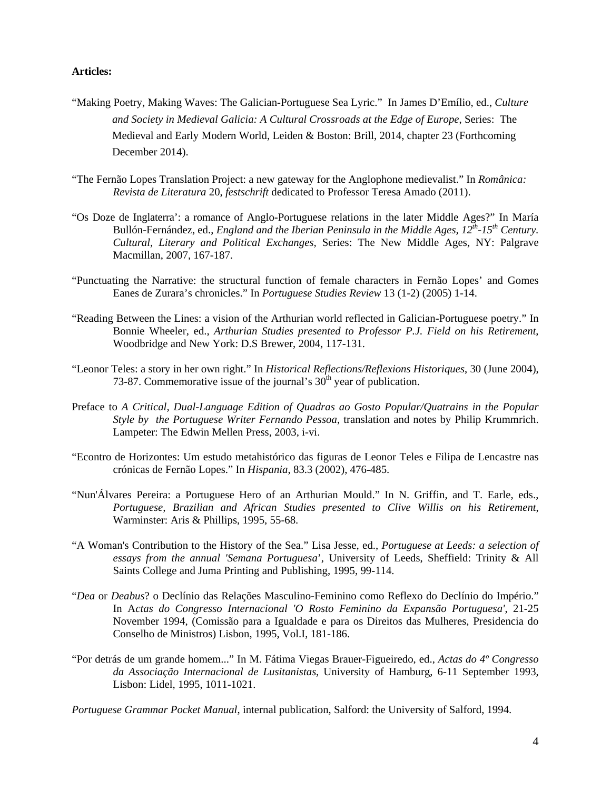# **Articles:**

- "Making Poetry, Making Waves: The Galician-Portuguese Sea Lyric." In James D'Emílio, ed., *Culture and Society in Medieval Galicia: A Cultural Crossroads at the Edge of Europe*, Series: The Medieval and Early Modern World, Leiden & Boston: Brill, 2014, chapter 23 (Forthcoming December 2014).
- "The Fernão Lopes Translation Project: a new gateway for the Anglophone medievalist." In *Românica: Revista de Literatura* 20, *festschrift* dedicated to Professor Teresa Amado (2011).
- "Os Doze de Inglaterra': a romance of Anglo-Portuguese relations in the later Middle Ages?" In María Bullón-Fernández, ed., *England and the Iberian Peninsula in the Middle Ages, 12<sup>th</sup>-15<sup>th</sup> Century. Cultural, Literary and Political Exchanges,* Series: The New Middle Ages, NY: Palgrave Macmillan, 2007, 167-187.
- "Punctuating the Narrative: the structural function of female characters in Fernão Lopes' and Gomes Eanes de Zurara's chronicles." In *Portuguese Studies Review* 13 (1-2) (2005) 1-14.
- "Reading Between the Lines: a vision of the Arthurian world reflected in Galician-Portuguese poetry." In Bonnie Wheeler, ed., *Arthurian Studies presented to Professor P.J. Field on his Retirement*, Woodbridge and New York: D.S Brewer, 2004, 117-131.
- "Leonor Teles: a story in her own right." In *Historical Reflections/Reflexions Historiques*, 30 (June 2004), 73-87. Commemorative issue of the journal's  $30<sup>th</sup>$  year of publication.
- Preface to *A Critical, Dual-Language Edition of Quadras ao Gosto Popular/Quatrains in the Popular Style by the Portuguese Writer Fernando Pessoa*, translation and notes by Philip Krummrich. Lampeter: The Edwin Mellen Press, 2003, i-vi.
- "Econtro de Horizontes: Um estudo metahistórico das figuras de Leonor Teles e Filipa de Lencastre nas crónicas de Fernão Lopes." In *Hispania*, 83.3 (2002), 476-485.
- "Nun'Álvares Pereira: a Portuguese Hero of an Arthurian Mould." In N. Griffin, and T. Earle, eds., *Portuguese, Brazilian and African Studies presented to Clive Willis on his Retirement*, Warminster: Aris & Phillips, 1995, 55-68.
- "A Woman's Contribution to the History of the Sea." Lisa Jesse, ed., *Portuguese at Leeds: a selection of essays from the annual 'Semana Portuguesa*', University of Leeds, Sheffield: Trinity & All Saints College and Juma Printing and Publishing, 1995, 99-114.
- "*Dea* or *Deabus*? o Declínio das Relações Masculino-Feminino como Reflexo do Declínio do Império." In A*ctas do Congresso Internacional 'O Rosto Feminino da Expansão Portuguesa'*, 21-25 November 1994, (Comissão para a Igualdade e para os Direitos das Mulheres, Presidencia do Conselho de Ministros) Lisbon, 1995, Vol.I, 181-186.
- "Por detrás de um grande homem..." In M. Fátima Viegas Brauer-Figueiredo, ed., *Actas do 4º Congresso da Associação Internacional de Lusitanistas*, University of Hamburg, 6-11 September 1993, Lisbon: Lidel, 1995, 1011-1021.

*Portuguese Grammar Pocket Manual*, internal publication, Salford: the University of Salford, 1994.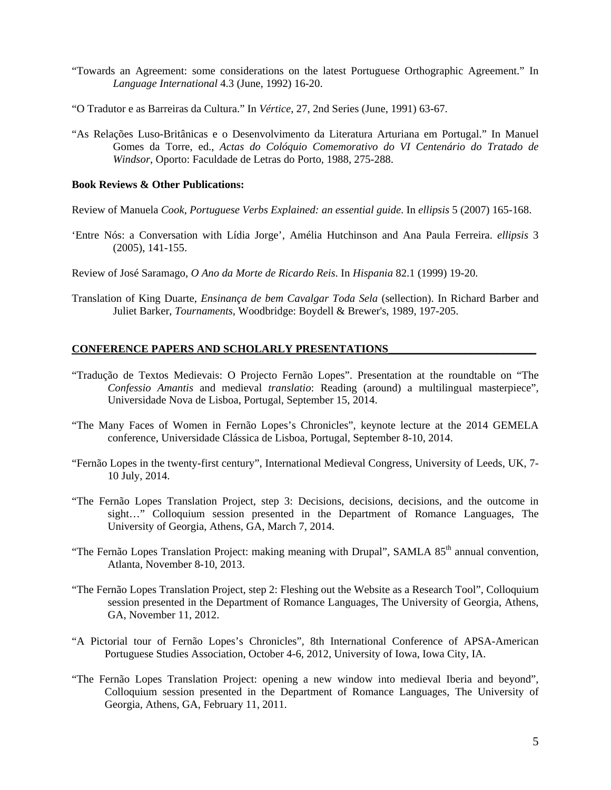- "Towards an Agreement: some considerations on the latest Portuguese Orthographic Agreement." In *Language International* 4.3 (June, 1992) 16-20.
- "O Tradutor e as Barreiras da Cultura." In *Vértice*, 27, 2nd Series (June, 1991) 63-67.
- "As Relações Luso-Britânicas e o Desenvolvimento da Literatura Arturiana em Portugal." In Manuel Gomes da Torre, ed., *Actas do Colóquio Comemorativo do VI Centenário do Tratado de Windsor*, Oporto: Faculdade de Letras do Porto, 1988, 275-288.

## **Book Reviews & Other Publications:**

Review of Manuela *Cook, Portuguese Verbs Explained: an essential guide*. In *ellipsis* 5 (2007) 165-168.

'Entre Nós: a Conversation with Lídia Jorge', Amélia Hutchinson and Ana Paula Ferreira. *ellipsis* 3 (2005), 141-155.

Review of José Saramago, *O Ano da Morte de Ricardo Reis*. In *Hispania* 82.1 (1999) 19-20.

Translation of King Duarte, *Ensinança de bem Cavalgar Toda Sela* (sellection). In Richard Barber and Juliet Barker, *Tournaments*, Woodbridge: Boydell & Brewer's, 1989, 197-205.

## **CONFERENCE PAPERS AND SCHOLARLY PRESENTATIONS**

- "Tradução de Textos Medievais: O Projecto Fernão Lopes". Presentation at the roundtable on "The *Confessio Amantis* and medieval *translatio*: Reading (around) a multilingual masterpiece", Universidade Nova de Lisboa, Portugal, September 15, 2014.
- "The Many Faces of Women in Fernão Lopes's Chronicles", keynote lecture at the 2014 GEMELA conference, Universidade Clássica de Lisboa, Portugal, September 8-10, 2014.
- "Fernão Lopes in the twenty-first century", International Medieval Congress, University of Leeds, UK, 7- 10 July, 2014.
- "The Fernão Lopes Translation Project, step 3: Decisions, decisions, decisions, and the outcome in sight…" Colloquium session presented in the Department of Romance Languages, The University of Georgia, Athens, GA, March 7, 2014.
- "The Fernão Lopes Translation Project: making meaning with Drupal", SAMLA  $85<sup>th</sup>$  annual convention, Atlanta, November 8-10, 2013.
- "The Fernão Lopes Translation Project, step 2: Fleshing out the Website as a Research Tool", Colloquium session presented in the Department of Romance Languages, The University of Georgia, Athens, GA, November 11, 2012.
- "A Pictorial tour of Fernão Lopes's Chronicles", 8th International Conference of APSA-American Portuguese Studies Association, October 4-6, 2012, University of Iowa, Iowa City, IA.
- "The Fernão Lopes Translation Project: opening a new window into medieval Iberia and beyond", Colloquium session presented in the Department of Romance Languages, The University of Georgia, Athens, GA, February 11, 2011.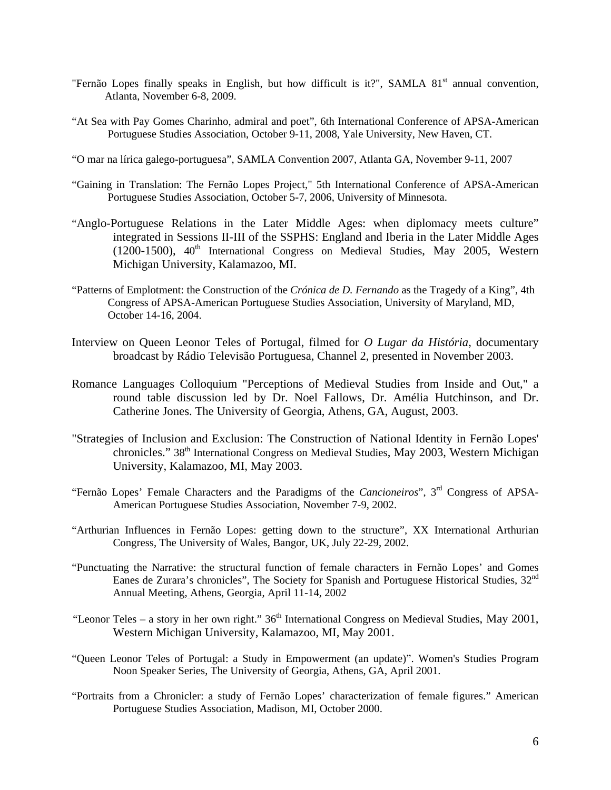- "Fernão Lopes finally speaks in English, but how difficult is it?", SAMLA 81<sup>st</sup> annual convention, Atlanta, November 6-8, 2009.
- "At Sea with Pay Gomes Charinho, admiral and poet", 6th International Conference of APSA-American Portuguese Studies Association, October 9-11, 2008, Yale University, New Haven, CT.
- "O mar na lírica galego-portuguesa", SAMLA Convention 2007, Atlanta GA, November 9-11, 2007
- "Gaining in Translation: The Fernão Lopes Project," 5th International Conference of APSA-American Portuguese Studies Association, October 5-7, 2006, University of Minnesota.
- "Anglo-Portuguese Relations in the Later Middle Ages: when diplomacy meets culture" integrated in Sessions II-III of the SSPHS: England and Iberia in the Later Middle Ages (1200-1500),  $40<sup>th</sup>$  International Congress on Medieval Studies, May 2005, Western Michigan University, Kalamazoo, MI.
- "Patterns of Emplotment: the Construction of the *Crónica de D. Fernando* as the Tragedy of a King", 4th Congress of APSA-American Portuguese Studies Association, University of Maryland, MD, October 14-16, 2004.
- Interview on Queen Leonor Teles of Portugal, filmed for *O Lugar da História*, documentary broadcast by Rádio Televisão Portuguesa, Channel 2, presented in November 2003.
- Romance Languages Colloquium "Perceptions of Medieval Studies from Inside and Out," a round table discussion led by Dr. Noel Fallows, Dr. Amélia Hutchinson, and Dr. Catherine Jones. The University of Georgia, Athens, GA, August, 2003.
- "Strategies of Inclusion and Exclusion: The Construction of National Identity in Fernão Lopes' chronicles." 38th International Congress on Medieval Studies, May 2003, Western Michigan University, Kalamazoo, MI, May 2003.
- "Fernão Lopes' Female Characters and the Paradigms of the *Cancioneiros*", 3rd Congress of APSA-American Portuguese Studies Association, November 7-9, 2002.
- "Arthurian Influences in Fernão Lopes: getting down to the structure", XX International Arthurian Congress, The University of Wales, Bangor, UK, July 22-29, 2002.
- "Punctuating the Narrative: the structural function of female characters in Fernão Lopes' and Gomes Eanes de Zurara's chronicles", The Society for Spanish and Portuguese Historical Studies, 32<sup>nd</sup> Annual Meeting, Athens, Georgia, April 11-14, 2002
- "Leonor Teles a story in her own right." 36<sup>th</sup> International Congress on Medieval Studies, May 2001, Western Michigan University, Kalamazoo, MI, May 2001.
- "Queen Leonor Teles of Portugal: a Study in Empowerment (an update)". Women's Studies Program Noon Speaker Series, The University of Georgia, Athens, GA, April 2001.
- "Portraits from a Chronicler: a study of Fernão Lopes' characterization of female figures." American Portuguese Studies Association, Madison, MI, October 2000.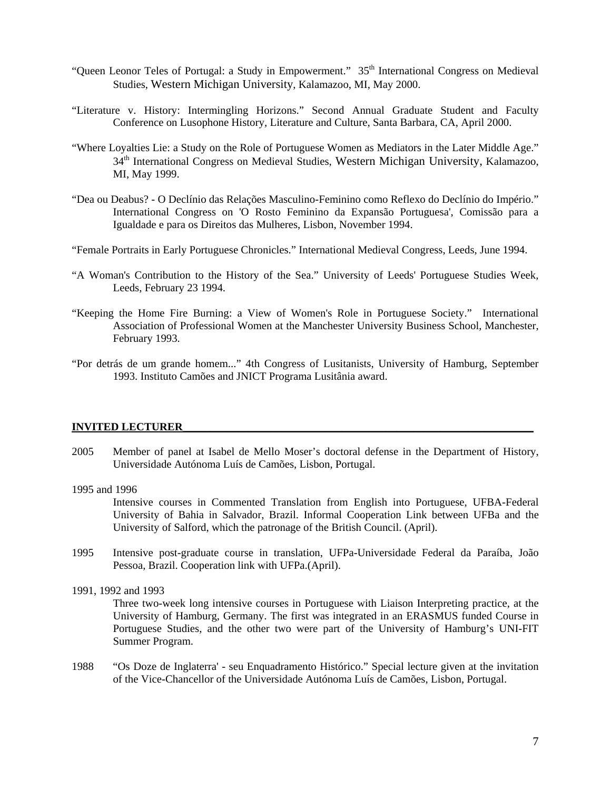- "Queen Leonor Teles of Portugal: a Study in Empowerment." 35<sup>th</sup> International Congress on Medieval Studies, Western Michigan University, Kalamazoo, MI, May 2000.
- "Literature v. History: Intermingling Horizons." Second Annual Graduate Student and Faculty Conference on Lusophone History, Literature and Culture, Santa Barbara, CA, April 2000.
- "Where Loyalties Lie: a Study on the Role of Portuguese Women as Mediators in the Later Middle Age." 34<sup>th</sup> International Congress on Medieval Studies, Western Michigan University, Kalamazoo, MI, May 1999.
- "Dea ou Deabus? O Declínio das Relações Masculino-Feminino como Reflexo do Declínio do Império." International Congress on 'O Rosto Feminino da Expansão Portuguesa', Comissão para a Igualdade e para os Direitos das Mulheres, Lisbon, November 1994.
- "Female Portraits in Early Portuguese Chronicles." International Medieval Congress, Leeds, June 1994.
- "A Woman's Contribution to the History of the Sea." University of Leeds' Portuguese Studies Week, Leeds, February 23 1994.
- "Keeping the Home Fire Burning: a View of Women's Role in Portuguese Society." International Association of Professional Women at the Manchester University Business School, Manchester, February 1993.
- "Por detrás de um grande homem..." 4th Congress of Lusitanists, University of Hamburg, September 1993. Instituto Camões and JNICT Programa Lusitânia award.

#### **INVITED LECTURER\_\_\_\_\_\_\_\_\_\_\_\_\_\_\_\_\_\_\_\_\_\_\_\_\_\_\_\_\_\_\_\_\_\_\_\_\_\_\_\_\_\_\_\_\_\_\_\_\_\_\_\_\_\_\_\_\_\_\_\_\_\_\_\_**

- 2005 Member of panel at Isabel de Mello Moser's doctoral defense in the Department of History, Universidade Autónoma Luís de Camões, Lisbon, Portugal.
- 1995 and 1996

Intensive courses in Commented Translation from English into Portuguese, UFBA-Federal University of Bahia in Salvador, Brazil. Informal Cooperation Link between UFBa and the University of Salford, which the patronage of the British Council. (April).

1995 Intensive post-graduate course in translation, UFPa-Universidade Federal da Paraíba, João Pessoa, Brazil. Cooperation link with UFPa.(April).

1991, 1992 and 1993

Three two-week long intensive courses in Portuguese with Liaison Interpreting practice, at the University of Hamburg, Germany. The first was integrated in an ERASMUS funded Course in Portuguese Studies, and the other two were part of the University of Hamburg's UNI-FIT Summer Program.

1988 "Os Doze de Inglaterra' - seu Enquadramento Histórico." Special lecture given at the invitation of the Vice-Chancellor of the Universidade Autónoma Luís de Camões, Lisbon, Portugal.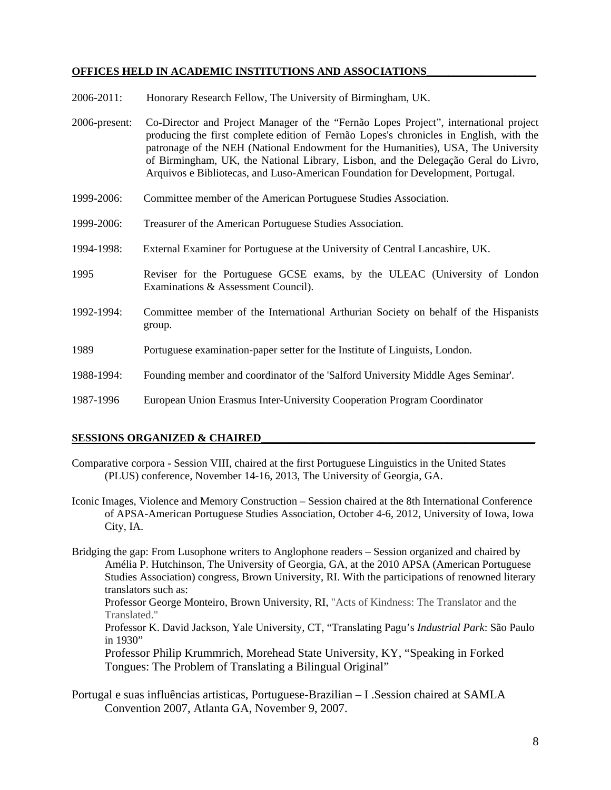# OFFICES HELD IN ACADEMIC INSTITUTIONS AND ASSOCIATIONS

- 2006-2011: Honorary Research Fellow, The University of Birmingham, UK.
- 2006-present: Co-Director and Project Manager of the "Fernão Lopes Project", international project producing the first complete edition of Fernão Lopes's chronicles in English, with the patronage of the NEH (National Endowment for the Humanities), USA, The University of Birmingham, UK, the National Library, Lisbon, and the Delegação Geral do Livro, Arquivos e Bibliotecas, and Luso-American Foundation for Development, Portugal.
- 1999-2006: Committee member of the American Portuguese Studies Association.
- 1999-2006: Treasurer of the American Portuguese Studies Association.
- 1994-1998: External Examiner for Portuguese at the University of Central Lancashire, UK.
- 1995 Reviser for the Portuguese GCSE exams, by the ULEAC (University of London Examinations & Assessment Council).
- 1992-1994: Committee member of the International Arthurian Society on behalf of the Hispanists group.
- 1989 Portuguese examination-paper setter for the Institute of Linguists, London.
- 1988-1994: Founding member and coordinator of the 'Salford University Middle Ages Seminar'.
- 1987-1996 European Union Erasmus Inter-University Cooperation Program Coordinator

## **SESSIONS ORGANIZED & CHAIRED\_\_\_\_\_\_\_\_\_\_\_\_\_\_\_\_\_\_\_\_\_\_\_\_\_\_\_\_\_\_\_\_\_\_\_\_\_\_\_\_\_\_\_\_\_\_\_\_\_\_**

- Comparative corpora Session VIII, chaired at the first Portuguese Linguistics in the United States (PLUS) conference, November 14-16, 2013, The University of Georgia, GA.
- Iconic Images, Violence and Memory Construction Session chaired at the 8th International Conference of APSA-American Portuguese Studies Association, October 4-6, 2012, University of Iowa, Iowa City, IA.
- Bridging the gap: From Lusophone writers to Anglophone readers Session organized and chaired by Amélia P. Hutchinson, The University of Georgia, GA, at the 2010 APSA (American Portuguese Studies Association) congress, Brown University, RI. With the participations of renowned literary translators such as:

 Professor George Monteiro, Brown University, RI, "Acts of Kindness: The Translator and the Translated."

Professor K. David Jackson, Yale University, CT, "Translating Pagu's *Industrial Park*: São Paulo in 1930"

Professor Philip Krummrich, Morehead State University, KY, "Speaking in Forked Tongues: The Problem of Translating a Bilingual Original"

Portugal e suas influências artisticas, Portuguese-Brazilian – I .Session chaired at SAMLA Convention 2007, Atlanta GA, November 9, 2007.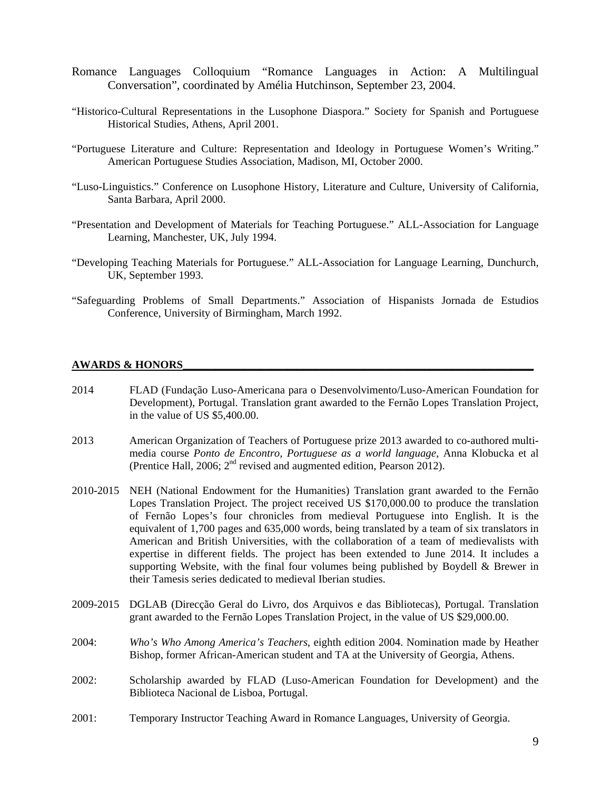- Romance Languages Colloquium "Romance Languages in Action: A Multilingual Conversation", coordinated by Amélia Hutchinson, September 23, 2004.
- "Historico-Cultural Representations in the Lusophone Diaspora." Society for Spanish and Portuguese Historical Studies, Athens, April 2001.
- "Portuguese Literature and Culture: Representation and Ideology in Portuguese Women's Writing." American Portuguese Studies Association, Madison, MI, October 2000.
- "Luso-Linguistics." Conference on Lusophone History, Literature and Culture, University of California, Santa Barbara, April 2000.
- "Presentation and Development of Materials for Teaching Portuguese." ALL-Association for Language Learning, Manchester, UK, July 1994.
- "Developing Teaching Materials for Portuguese." ALL-Association for Language Learning, Dunchurch, UK, September 1993.
- "Safeguarding Problems of Small Departments." Association of Hispanists Jornada de Estudios Conference, University of Birmingham, March 1992.

#### **AWARDS & HONORS**

- 2014 FLAD (Fundação Luso-Americana para o Desenvolvimento/Luso-American Foundation for Development), Portugal. Translation grant awarded to the Fernão Lopes Translation Project, in the value of US \$5,400.00.
- 2013 American Organization of Teachers of Portuguese prize 2013 awarded to co-authored multimedia course *Ponto de Encontro, Portuguese as a world language*, Anna Klobucka et al (Prentice Hall, 2006;  $2<sup>nd</sup>$  revised and augmented edition, Pearson 2012).
- 2010-2015 NEH (National Endowment for the Humanities) Translation grant awarded to the Fernão Lopes Translation Project. The project received US \$170,000.00 to produce the translation of Fernão Lopes's four chronicles from medieval Portuguese into English. It is the equivalent of 1,700 pages and 635,000 words, being translated by a team of six translators in American and British Universities, with the collaboration of a team of medievalists with expertise in different fields. The project has been extended to June 2014. It includes a supporting Website, with the final four volumes being published by Boydell & Brewer in their Tamesis series dedicated to medieval Iberian studies.
- 2009-2015 DGLAB (Direcção Geral do Livro, dos Arquivos e das Bibliotecas), Portugal. Translation grant awarded to the Fernão Lopes Translation Project, in the value of US \$29,000.00.
- 2004: *Who's Who Among America's Teachers*, eighth edition 2004. Nomination made by Heather Bishop, former African-American student and TA at the University of Georgia, Athens.
- 2002: Scholarship awarded by FLAD (Luso-American Foundation for Development) and the Biblioteca Nacional de Lisboa, Portugal.
- 2001: Temporary Instructor Teaching Award in Romance Languages, University of Georgia.